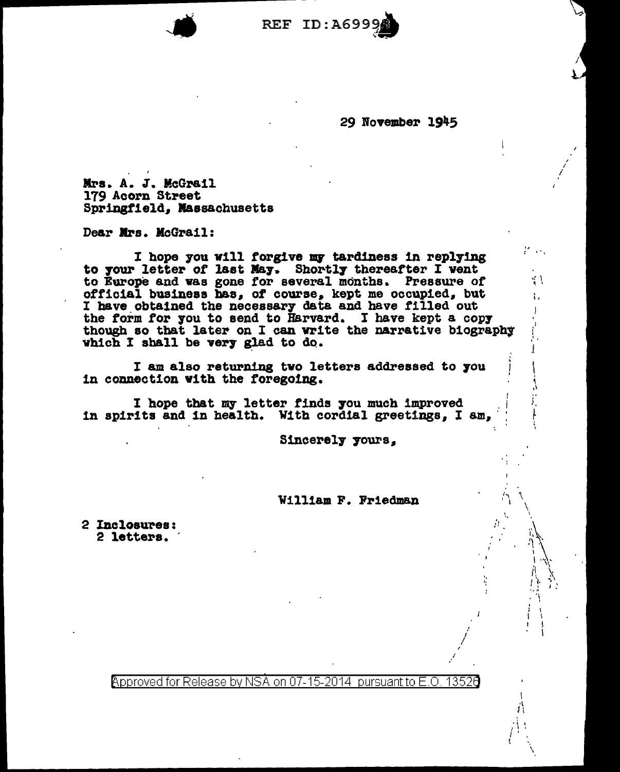

29 November 1945

 $\mathcal{F}$  , and

;

 $\cdot$  '  $\cdot$ 

١.

*:'*  : ''<br>''

'·

 $\mathbf{r}$ ,  $\mathbf{r}$ 

\ ,;\ .: <sup>~</sup> 'I I 'I ' / I {

\

 $\cdot$   $\cdot$   $\cdot$ 

I

Mrs. A. J. McGrail 179 Acorn Street Springfield, Massachusetts

Dear Mrs. McGrail:

I hope you will forgive my tardiness in replying to your letter of last May. Shortly thereafter I vent to Europe and vas gone tor several months. Pressure or official business bas, of course. kept me occupied, but I have obtained the necessary data and have filled out the form for you to send to Harvard. I have kept a copy though so that later on I can write the narrative biography which I shall be very glad to do.

I am also returning two letters addressed to you in connection with the foregoing.

I hope that my letter finds you much improved in spirits and in health. With cordial greetings, I am,

Sincerely yours,

William F. Friedman

2 Incloau~ea: 2 letters.

 $\beta$ pproved for Release by NSA on 07-15-2014 pursuant to E.O. 1352 $\beta$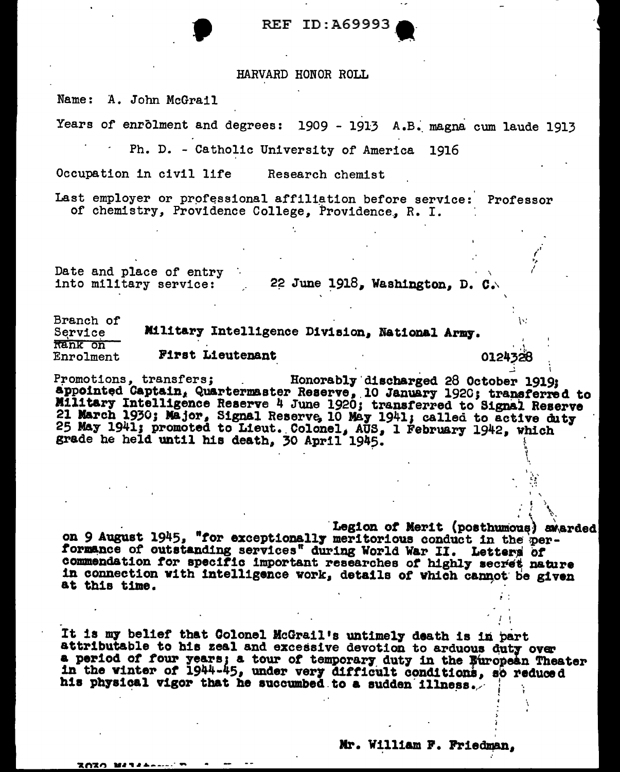### REF ID: A69993

#### HARVARD HONOR ROLL

Name: A. John McGrail

Years of enrolment and degrees: 1909 - 1913 A.B. magna cum laude 1913

Ph. D. - Catholic University of America 1916

Occupation in civil life Research chemist

Last employer or professional affiliation before service: Professor of chemistry, Providence College, Providence, R. I.

Date and place of entry into military service: 22 June 1918, Washington, D. C.

**ZOZO MARALLA T** 

Branch of Military Intelligence Division, National Army. Service Rank on **First Lieutenant** Enrolment 0124328

Promotions, transfers; Honorably discharged 28 October 1919: appointed Captain, Quartermaster Reserve, 10 January 1920; transferred to Military Intelligence Reserve 4 June 1920; transferred to Signal Reserve 21 March 1930; Major, Signal Reserve, 10 May 1941; called to active duty 25 May 1941; promoted to Lieut. Colonel, AUS, 1 February 1942, which grade he held until his death, 30 April 1945.

Legion of Merit (posthumous) awarded on 9 August 1945, "for exceptionally meritorious conduct in the performance of outstanding services" during World War II. Letters of commendation for specific important researches of highly secret nature in connection with intelligence work, details of which cannot be given at this time.

It is my belief that Colonel McGrail's untimely death is in part attributable to his zeal and excessive devotion to arduous duty over a period of four years; a tour of temporary duty in the Buropean Theater<br>in the winter of 1944-45, under very difficult conditions, so reduced his physical vigor that he succumbed to a sudden illness.

Mr. William F. Friedman.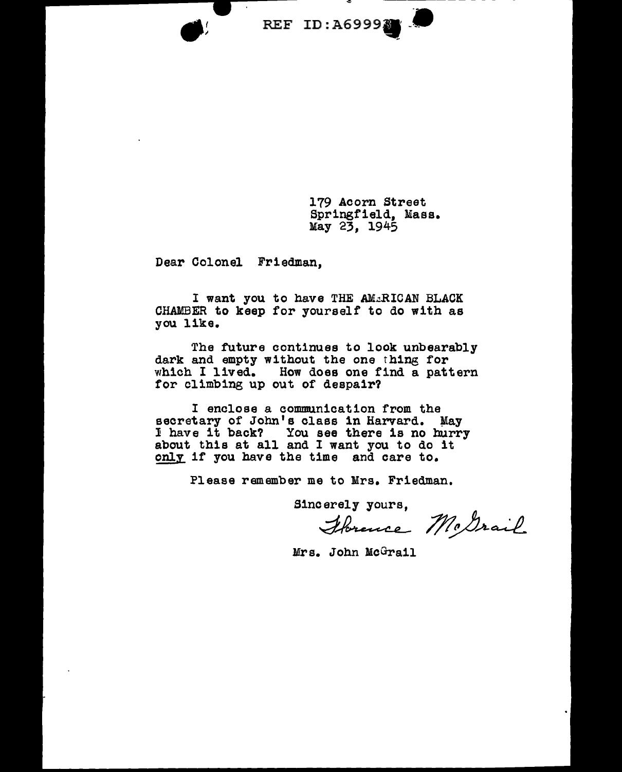REF ID:A69993

179 Acorn Street Springfield, Mass. May 23, 1945

Dear Colonel Friedman,

I want you to have THE AM&RICAN BLACK CHAMBER to keep for yourself to do with as you like.

The future continues to look unbearably dark and empty without the one thing for which I lived. How does one find a pattern for climbing up out of despair?

I enclose a communication from the secretary of John's class in Harvard. May l have it back? You see there is no hurry about this at all and I want you to do it about this at all and I want you to do it only if you have the time and care to.

Please remember me to Mrs. Friedman.

Sincerely yours,

e to Mrs. Friedman.<br>erely yours,<br>Horence McDra  $1/1$ c $\triangle$ rail

Mrs. John McGrail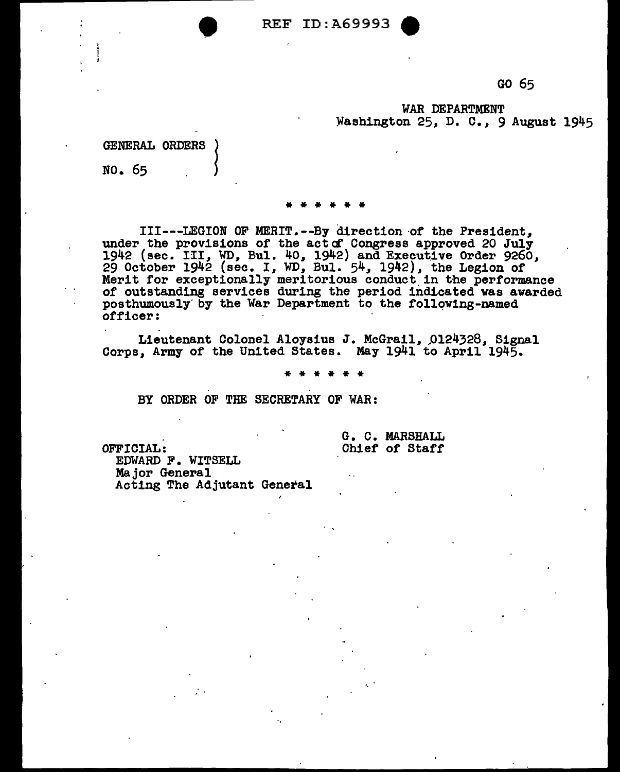REF ID: A69993

GO 65

WAR DEPARTMENT Washington 25, D. c., 9 August 1945

#### GENERAL ORDERS

NO. 65 <sup>~</sup>

# \* \* \* \* \* \*

III---LEGION OF MERIT.--By direction of the President, under the provisions of the actof Congress approved 20 July under the provisions of the actof Congress approved 20 July 1942 (sec. III, WD, Bul. 40, 1942) and Executive Order 9260, 29 October 1942 (sec. I, WD, Bul. 54, 1942), the Legion of Merit for exceptionally meritorious conduct in the performance of outstanding services during the period indicated was awarded posthumously by the War Department to the following-named officer:

Lieutenant Colonel Aloysius J. McGrail, 0124328, Signal Corps, Army of the United States. May 1941 to April 1945.

\* \* \* \* \* \*

BY ORDER OF THE SECRETARY OF WAR:

OFFICIAL:

G. C. MARSHALL Chief of Staff

EDWARD F. WITSELL Major General Acting The Adjutant General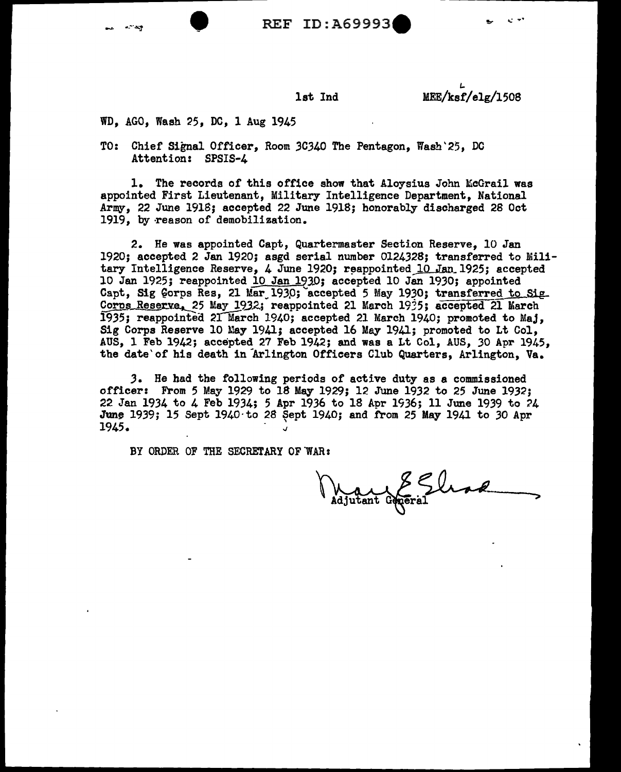

1st Ind MEE/ksf/elg/1508

WD, AGO, Wash 25, DC, 1 Aug 1945

TO: Chief Signal Officer, Room 3C340 The Pentagon, Wash'25, DC Attention: SPSIS-4

1. The records of this office show that Aloysius John McGrail was appointed First Lieutenant, Military Intelligence Department, National Army, 22 June 191S; accepted 22 June 1918; honorably discharged 28 Oct 1919, by reason of demobilization.

2. He was appointed Capt, Quartermaster Section Reserve, 10 Jan 1920; accepted 2 Jan 1920; asgd serial number 0124328; transferred to Military Intelligence Reserve, 4 June 1920; reappointed  $10$  Jan 1925; accepted 10 Jan 1925; reappointed 10 Jan 1930; accepted 10 Jan 1930; appointed Capt, Sig Gorps Res, 21 Mar 1930; accepted 5 May 1930; transferred to Sig. Corps Reserve. 25 May 1932; reappointed 21 March 1935; accepted 21 March 1935; reappointed 21 March 1940; accepted 21 March 1940; promoted to Maj. Sig Corps Reserve 10 May 1941; accepted 16 May 1941; promoted to Lt Col, AUS, 1 Feb 1942; accepted 27 Feb 1942; and was a Lt Col, AUS, *30* Apr 1945, the date' of his death in Arlington Officers Club Quarters, Arlington, Va.

J. He had the following periods of active duty as a commissioned officer: From 5 May 1929 to 18 May 1929; 12 June 1932 to 25 June 1932; 22 Jan 1934 to 4 Feb 1934; 5 Apr 1936 to 18 Apr 1936; 11 June 1939 to 24 June 1939; 15 Sept 1940 to 28 Sept 1940; and from 25 May 1941 to 30 Apr 1945.

BY ORDER OF THE SECRETARY OF WAR:

Maurent Grotral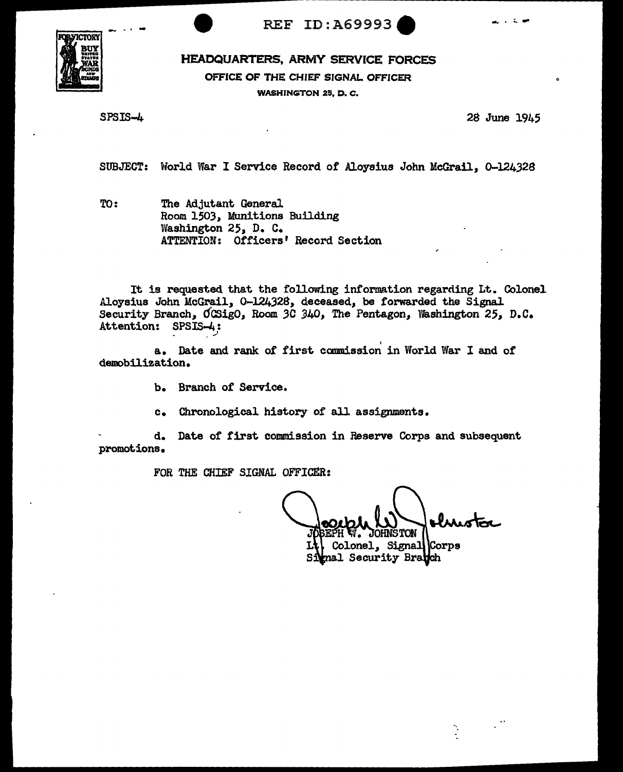

REF ID: A69993

HEADQUARTERS, ARMY SERVICE FORCES

OFFICE OF THE CHIEF SIGNAL OFFICER

WASHINGTON 25, D. C.

SPSIS-4

28 June 1945

SUBJECT: World War I Service Record of Aloysius John McGrail, 0-124328

TO: The Adjutant General Room 1503, Munitions Building Washington 25, D. C. ATTENTION: Otticers' Record Section

It is requested that the following information regarding Lt. Colonel Aloysius John McGrail, 0-124328, deceased, be forwarded the Signal Security Branch, OCSigO, Room 3C 340, The Pentagon, Washington 25, D.C. Attention: SPSIS-4: *\_,}* 

a. Date and rank of first commission in World War I and of demobilization.

- b. Branch of Service.
- c. Chronological history of all assignments.

d. Date of' first commission in Reserve Corps and subsequent promotions.

FOR THE CHIEF SIGNAL OFFICER:

**OHNSTON** 

Colonel, Signal Corps mal Security Bra**tc**h

Ò,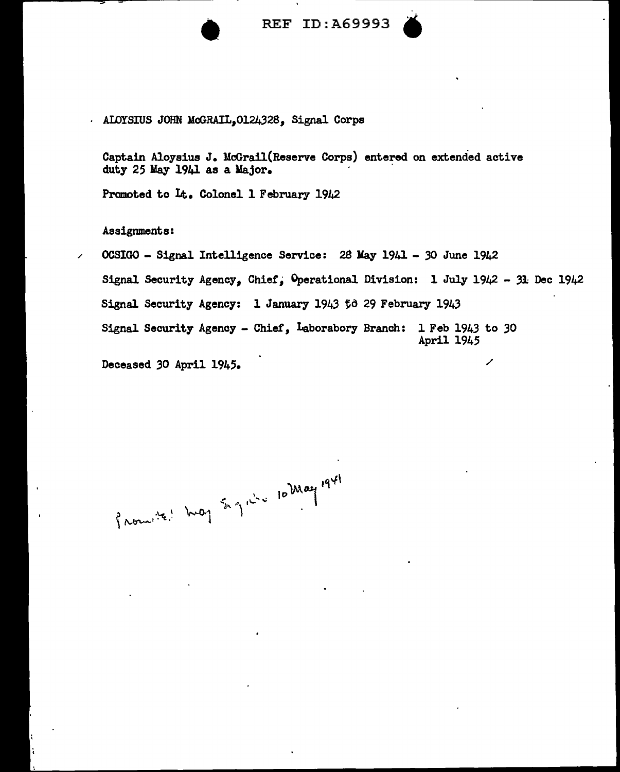

REF ID:A69993



ALOYSIUS JOHN McGRAIL, 0124328, Signal Corps

Captain Aloysius J. McGrail(Reserve Corps) entered on extended active duty 25 May 1941 as a Major.

Promoted to Lt.. Colonel 1 February 1942

Assignments:

OCSIGO - Signal Intelligence Service: 28 May 1941 - 30 June 1942 Signal Security Agency, Chief, Operational Division: 1 July 1942 - 31 Dec 1942 Signal Security Agency: 1 January 1943 to 29 February 194.3 Signal Security Agency - Chief, Laborabory Branch: 1 Feb 1943 to 30 April 1945

Deceased *30* April 1945. /

Promite' happy Sand 10 May 1941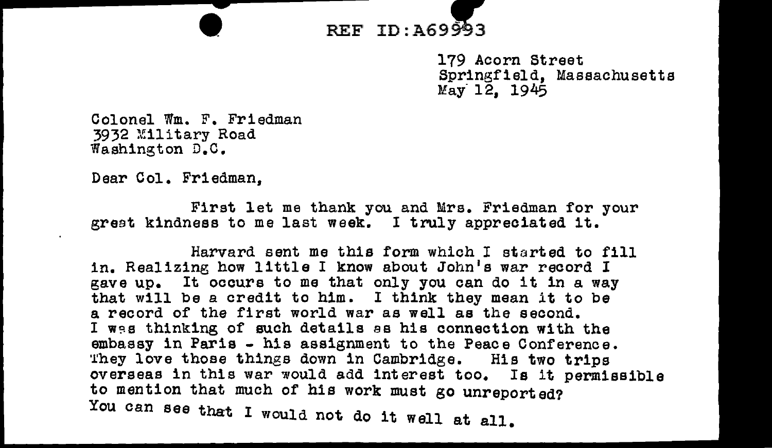

179 Acorn Street Springfield, Massachusetts May 12, 1945

Colonel Wm. F. Friedman 3932 *Military Road* Washington D.C.

Dear Col. Friedman,

First let me thank you and Mrs. Friedman for your great kindness to me last week. I truly appreciated 1t.

Harvard sent me this form which I started to fill in. Realizing how little I know about John's war record I gave up. It occurs to me that only you can do it in a way that will be a credit to him. I think they mean it to be a record of the first world war as well as the second. I was thinking of such details as his connection with the embassy in Paris - his assignment to the Peace Conference. They love those things down in Cambridge. His two trips overseas in this war would add interest too. Is it permissible to mention that much of his work must go unreported? You can see that I would not do it well at all.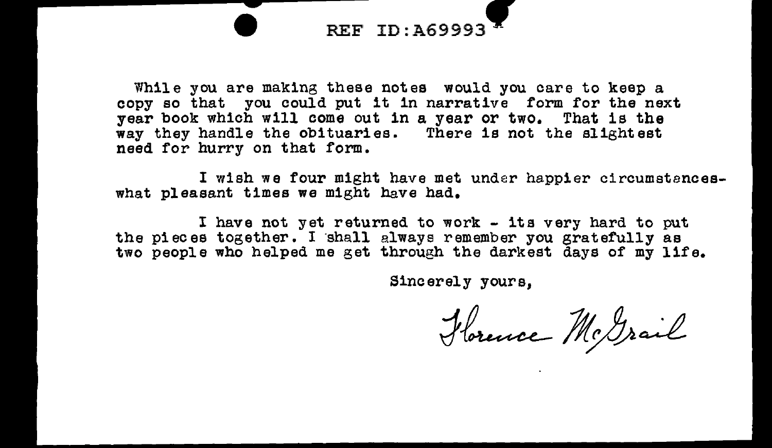

While you are making these notes would you care to keep a copy so that you could put it 1n narrative form for the next year book which will come out in a year or two. That is the way they handle the obituaries. There is not the slightest need for hurry on that form.

I wish we four might have met under happier circumstanceswhat pleasant times we might have had.

I have not yet returned to work - its very hard to put the pieces together. I ·shall always remember you gratefully as two people who helped me get through the darkest days of my life.

Sine er el y yours,

Hornce McGrail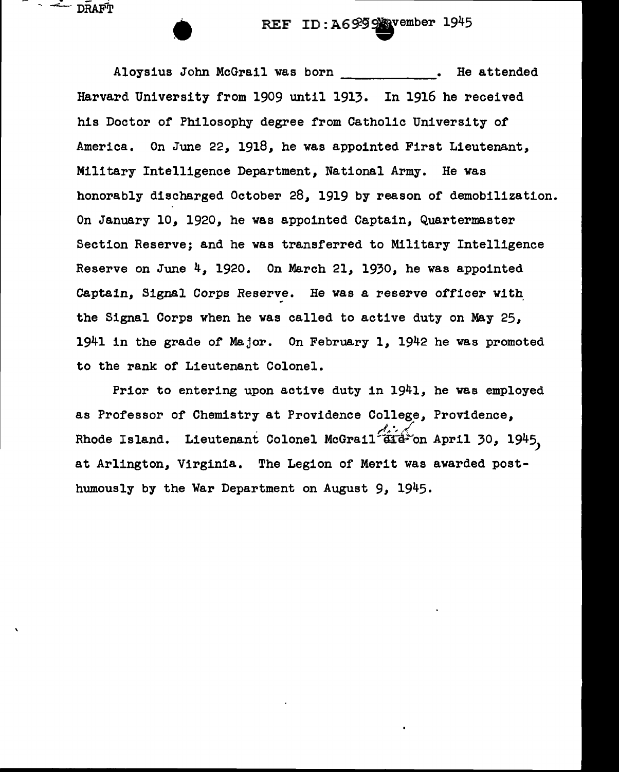REF ID:A6999 wember 1945<br>1 was born . He attended

Aloysius John McGrail was born Harvard University from 1909 until 1913. In 1916 he received his Doctor of Philosophy degree from Catholic University of America. On June 22, 1918, he was appointed First Lieutenant, Military Intelligence Department, National Army. He was honorably discharged October 28, 1919 by reason of demobilization. On January 10, 1920, he was appointed Captain, Quartermaster Section Reserve; and he was transferred to Military Intelligence Reserve on June 4, 1920. On March 21, 1930, he was appointed Captain, Signal Corps Reserve. He was a reserve officer with the Signal Corps when he was called to active duty on May 25, 1941 in the grade of Major. On February 1, 1942 he was promoted to the rank of Lieutenant Colonel.

 $\sim$   $\sim$  DRAFT

Prior to entering upon active duty in 1941, he was employed as Professor of Chemistry at Providence College, Providence, Rhode Island. Lieutenant Colonel McGrail<sup>(21</sup>aid-on April 30, 1945, at Arlington, Virginia. The Legion of Merit was awarded posthumously by the War Department on August 9, 1945.